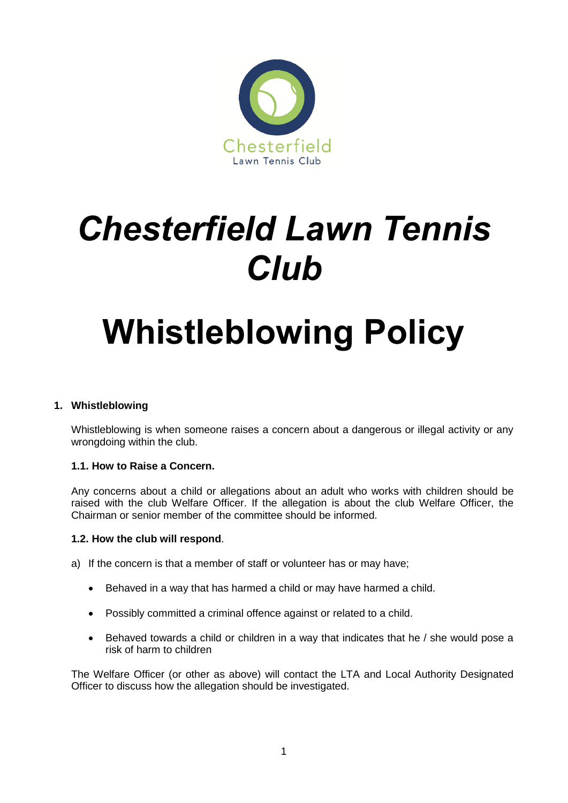

# *Chesterfield Lawn Tennis Club*

## **Whistleblowing Policy**

## **1. Whistleblowing**

Whistleblowing is when someone raises a concern about a dangerous or illegal activity or any wrongdoing within the club.

### **1.1. How to Raise a Concern.**

Any concerns about a child or allegations about an adult who works with children should be raised with the club Welfare Officer. If the allegation is about the club Welfare Officer, the Chairman or senior member of the committee should be informed.

#### **1.2. How the club will respond**.

- a) If the concern is that a member of staff or volunteer has or may have;
	- Behaved in a way that has harmed a child or may have harmed a child.
	- Possibly committed a criminal offence against or related to a child.
	- Behaved towards a child or children in a way that indicates that he / she would pose a risk of harm to children

The Welfare Officer (or other as above) will contact the LTA and Local Authority Designated Officer to discuss how the allegation should be investigated.